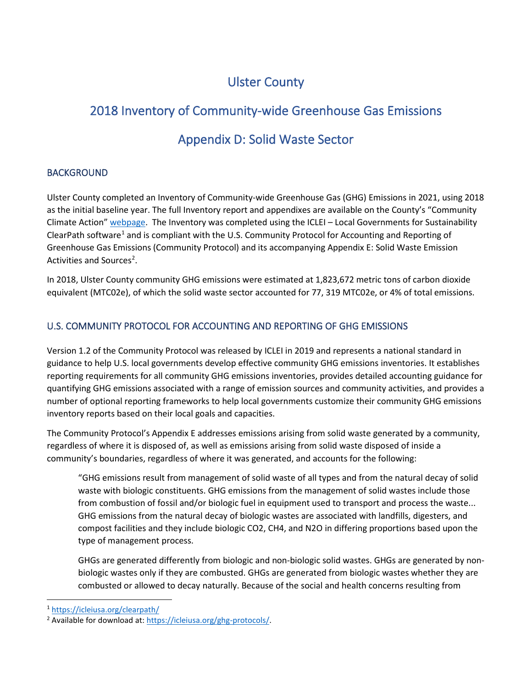# Ulster County

# 2018 Inventory of Community-wide Greenhouse Gas Emissions

# Appendix D: Solid Waste Sector

# BACKGROUND

Ulster County completed an Inventory of Community-wide Greenhouse Gas (GHG) Emissions in 2021, using 2018 as the initial baseline year. The full Inventory report and appendixes are available on the County's "Community Climate Action[" webpage.](https://ulstercountyny.gov/environment/climate-action) The Inventory was completed using the ICLEI – Local Governments for Sustainability ClearPath software<sup>[1](#page-0-0)</sup> and is compliant with the U.S. Community Protocol for Accounting and Reporting of Greenhouse Gas Emissions (Community Protocol) and its accompanying Appendix E: Solid Waste Emission Activities and Sources<sup>[2](#page-0-1)</sup>.

In 2018, Ulster County community GHG emissions were estimated at 1,823,672 metric tons of carbon dioxide equivalent (MTC02e), of which the solid waste sector accounted for 77, 319 MTC02e, or 4% of total emissions.

# U.S. COMMUNITY PROTOCOL FOR ACCOUNTING AND REPORTING OF GHG EMISSIONS

Version 1.2 of the Community Protocol was released by ICLEI in 2019 and represents a national standard in guidance to help U.S. local governments develop effective community GHG emissions inventories. It establishes reporting requirements for all community GHG emissions inventories, provides detailed accounting guidance for quantifying GHG emissions associated with a range of emission sources and community activities, and provides a number of optional reporting frameworks to help local governments customize their community GHG emissions inventory reports based on their local goals and capacities.

The Community Protocol's Appendix E addresses emissions arising from solid waste generated by a community, regardless of where it is disposed of, as well as emissions arising from solid waste disposed of inside a community's boundaries, regardless of where it was generated, and accounts for the following:

"GHG emissions result from management of solid waste of all types and from the natural decay of solid waste with biologic constituents. GHG emissions from the management of solid wastes include those from combustion of fossil and/or biologic fuel in equipment used to transport and process the waste... GHG emissions from the natural decay of biologic wastes are associated with landfills, digesters, and compost facilities and they include biologic CO2, CH4, and N2O in differing proportions based upon the type of management process.

GHGs are generated differently from biologic and non-biologic solid wastes. GHGs are generated by nonbiologic wastes only if they are combusted. GHGs are generated from biologic wastes whether they are combusted or allowed to decay naturally. Because of the social and health concerns resulting from

<span id="page-0-0"></span><sup>1</sup> <https://icleiusa.org/clearpath/>

<span id="page-0-1"></span><sup>2</sup> Available for download at: [https://icleiusa.org/ghg-protocols/.](https://icleiusa.org/ghg-protocols/)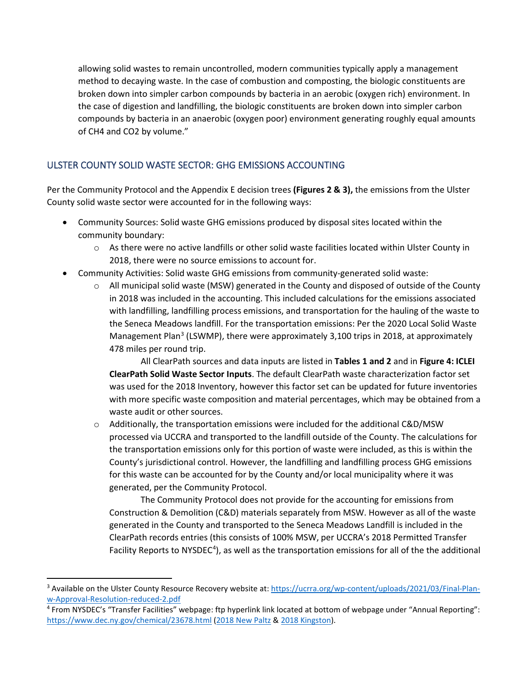allowing solid wastes to remain uncontrolled, modern communities typically apply a management method to decaying waste. In the case of combustion and composting, the biologic constituents are broken down into simpler carbon compounds by bacteria in an aerobic (oxygen rich) environment. In the case of digestion and landfilling, the biologic constituents are broken down into simpler carbon compounds by bacteria in an anaerobic (oxygen poor) environment generating roughly equal amounts of CH4 and CO2 by volume."

# ULSTER COUNTY SOLID WASTE SECTOR: GHG EMISSIONS ACCOUNTING

Per the Community Protocol and the Appendix E decision trees **(Figures 2 & 3),** the emissions from the Ulster County solid waste sector were accounted for in the following ways:

- Community Sources: Solid waste GHG emissions produced by disposal sites located within the community boundary:
	- o As there were no active landfills or other solid waste facilities located within Ulster County in 2018, there were no source emissions to account for.
- Community Activities: Solid waste GHG emissions from community-generated solid waste:
	- $\circ$  All municipal solid waste (MSW) generated in the County and disposed of outside of the County in 2018 was included in the accounting. This included calculations for the emissions associated with landfilling, landfilling process emissions, and transportation for the hauling of the waste to the Seneca Meadows landfill. For the transportation emissions: Per the 2020 Local Solid Waste Management Plan<sup>[3](#page-1-0)</sup> (LSWMP), there were approximately 3,100 trips in 2018, at approximately 478 miles per round trip.

All ClearPath sources and data inputs are listed in **Tables 1 and 2** and in **Figure 4: ICLEI ClearPath Solid Waste Sector Inputs**. The default ClearPath waste characterization factor set was used for the 2018 Inventory, however this factor set can be updated for future inventories with more specific waste composition and material percentages, which may be obtained from a waste audit or other sources.

 $\circ$  Additionally, the transportation emissions were included for the additional C&D/MSW processed via UCCRA and transported to the landfill outside of the County. The calculations for the transportation emissions only for this portion of waste were included, as this is within the County's jurisdictional control. However, the landfilling and landfilling process GHG emissions for this waste can be accounted for by the County and/or local municipality where it was generated, per the Community Protocol.

The Community Protocol does not provide for the accounting for emissions from Construction & Demolition (C&D) materials separately from MSW. However as all of the waste generated in the County and transported to the Seneca Meadows Landfill is included in the ClearPath records entries (this consists of 100% MSW, per UCCRA's 2018 Permitted Transfer Facility Reports to NYSDEC<sup>[4](#page-1-1)</sup>), as well as the transportation emissions for all of the the additional

<span id="page-1-0"></span><sup>3</sup> Available on the Ulster County Resource Recovery website at: [https://ucrra.org/wp-content/uploads/2021/03/Final-Plan](https://ucrra.org/wp-content/uploads/2021/03/Final-Plan-w-Approval-Resolution-reduced-2.pdf)[w-Approval-Resolution-reduced-2.pdf](https://ucrra.org/wp-content/uploads/2021/03/Final-Plan-w-Approval-Resolution-reduced-2.pdf)

<span id="page-1-1"></span><sup>4</sup> From NYSDEC's "Transfer Facilities" webpage: ftp hyperlink link located at bottom of webpage under "Annual Reporting": <https://www.dec.ny.gov/chemical/23678.html> [\(2018 New Paltz](ftp://ftp.dec.state.ny.us/dshm/SWMF/Annual%20Reports_Solid%20Waste%20Management%20Facility/Annual%20Reports_by%20Activity%20Type/Transfer%20Facilities/Transfer%20Annual%20Reports%20-%202018/R3/56T03_UCRRA_New_Paltz_ts_R3_2018.2019-02-26.AR.pdf) [& 2018 Kingston\)](ftp://ftp.dec.state.ny.us/dshm/SWMF/Annual%20Reports_Solid%20Waste%20Management%20Facility/Annual%20Reports_by%20Activity%20Type/Transfer%20Facilities/Transfer%20Annual%20Reports%20-%202018/R3/56T05_UCRRA_Ulster_ts_R3_2018.2019-02-26.AR.pdf).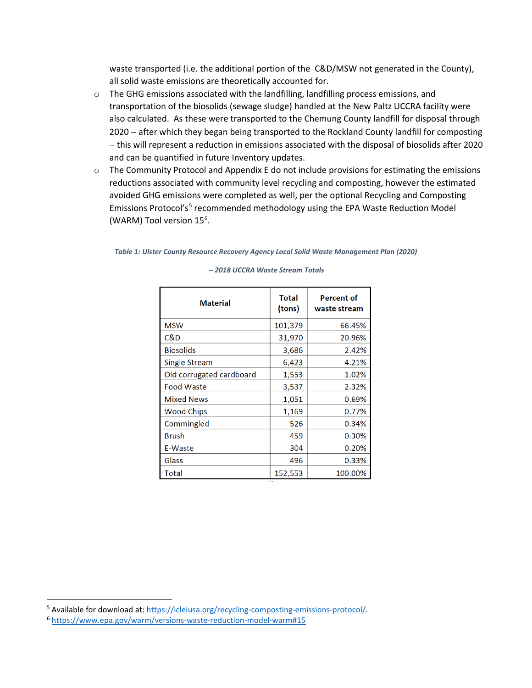waste transported (i.e. the additional portion of the C&D/MSW not generated in the County), all solid waste emissions are theoretically accounted for.

- $\circ$  The GHG emissions associated with the landfilling, landfilling process emissions, and transportation of the biosolids (sewage sludge) handled at the New Paltz UCCRA facility were also calculated. As these were transported to the Chemung County landfill for disposal through 2020 − after which they began being transported to the Rockland County landfill for composting − this will represent a reduction in emissions associated with the disposal of biosolids after 2020 and can be quantified in future Inventory updates.
- $\circ$  The Community Protocol and Appendix E do not include provisions for estimating the emissions reductions associated with community level recycling and composting, however the estimated avoided GHG emissions were completed as well, per the optional Recycling and Composting Emissions Protocol's<sup>[5](#page-2-0)</sup> recommended methodology using the EPA Waste Reduction Model (WARM) Tool version 15<sup>6</sup>.

### *Table 1: Ulster County Resource Recovery Agency Local Solid Waste Management Plan (2020)*

| <b>Material</b>          | Total<br>(tons) | <b>Percent of</b><br>waste stream |
|--------------------------|-----------------|-----------------------------------|
| <b>MSW</b>               | 101,379         | 66.45%                            |
| C&D                      | 31,970          | 20.96%                            |
| <b>Biosolids</b>         | 3,686           | 2.42%                             |
| Single Stream            | 6,423           | 4.21%                             |
| Old corrugated cardboard | 1,553           | 1.02%                             |
| <b>Food Waste</b>        | 3,537           | 2.32%                             |
| <b>Mixed News</b>        | 1,051           | 0.69%                             |
| <b>Wood Chips</b>        | 1,169           | 0.77%                             |
| Commingled               | 526             | 0.34%                             |
| <b>Brush</b>             | 459             | 0.30%                             |
| E-Waste                  | 304             | 0.20%                             |
| Glass                    | 496             | 0.33%                             |
| Total                    | 152,553         | 100.00%                           |

#### *– 2018 UCCRA Waste Stream Totals*

<span id="page-2-0"></span><sup>&</sup>lt;sup>5</sup> Available for download at: [https://icleiusa.org/recycling-composting-emissions-protocol/.](https://icleiusa.org/recycling-composting-emissions-protocol/)

<span id="page-2-1"></span><sup>6</sup> <https://www.epa.gov/warm/versions-waste-reduction-model-warm#15>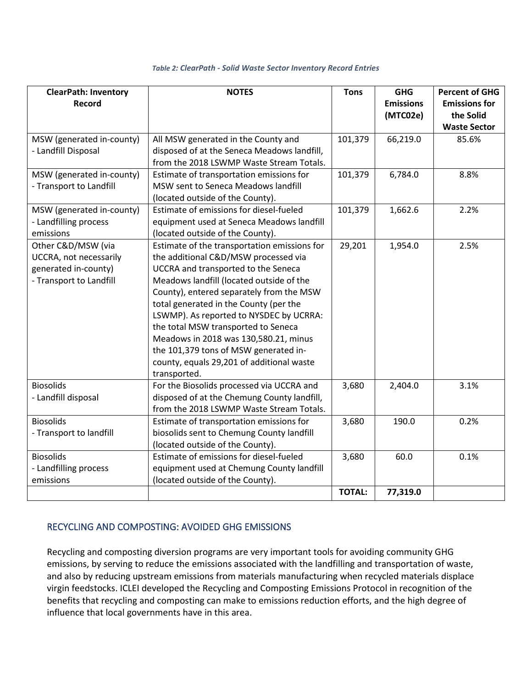| <b>ClearPath: Inventory</b><br><b>Record</b>                                                    | <b>NOTES</b>                                                                                                                                                                                                                                                                                                                                                                                                                                                                                   | <b>Tons</b>   | <b>GHG</b><br><b>Emissions</b><br>(MTC02e) | <b>Percent of GHG</b><br><b>Emissions for</b><br>the Solid<br><b>Waste Sector</b> |
|-------------------------------------------------------------------------------------------------|------------------------------------------------------------------------------------------------------------------------------------------------------------------------------------------------------------------------------------------------------------------------------------------------------------------------------------------------------------------------------------------------------------------------------------------------------------------------------------------------|---------------|--------------------------------------------|-----------------------------------------------------------------------------------|
| MSW (generated in-county)<br>- Landfill Disposal                                                | All MSW generated in the County and<br>disposed of at the Seneca Meadows landfill,<br>from the 2018 LSWMP Waste Stream Totals.                                                                                                                                                                                                                                                                                                                                                                 | 101,379       | 66,219.0                                   | 85.6%                                                                             |
| MSW (generated in-county)<br>- Transport to Landfill                                            | Estimate of transportation emissions for<br>MSW sent to Seneca Meadows landfill<br>(located outside of the County).                                                                                                                                                                                                                                                                                                                                                                            | 101,379       | 6,784.0                                    | 8.8%                                                                              |
| MSW (generated in-county)<br>- Landfilling process<br>emissions                                 | Estimate of emissions for diesel-fueled<br>equipment used at Seneca Meadows landfill<br>(located outside of the County).                                                                                                                                                                                                                                                                                                                                                                       | 101,379       | 1,662.6                                    | 2.2%                                                                              |
| Other C&D/MSW (via<br>UCCRA, not necessarily<br>generated in-county)<br>- Transport to Landfill | Estimate of the transportation emissions for<br>the additional C&D/MSW processed via<br>UCCRA and transported to the Seneca<br>Meadows landfill (located outside of the<br>County), entered separately from the MSW<br>total generated in the County (per the<br>LSWMP). As reported to NYSDEC by UCRRA:<br>the total MSW transported to Seneca<br>Meadows in 2018 was 130,580.21, minus<br>the 101,379 tons of MSW generated in-<br>county, equals 29,201 of additional waste<br>transported. | 29,201        | 1,954.0                                    | 2.5%                                                                              |
| <b>Biosolids</b><br>- Landfill disposal                                                         | For the Biosolids processed via UCCRA and<br>disposed of at the Chemung County landfill,<br>from the 2018 LSWMP Waste Stream Totals.                                                                                                                                                                                                                                                                                                                                                           | 3,680         | 2,404.0                                    | 3.1%                                                                              |
| <b>Biosolids</b><br>- Transport to landfill                                                     | Estimate of transportation emissions for<br>biosolids sent to Chemung County landfill<br>(located outside of the County).                                                                                                                                                                                                                                                                                                                                                                      | 3,680         | 190.0                                      | 0.2%                                                                              |
| <b>Biosolids</b><br>- Landfilling process<br>emissions                                          | Estimate of emissions for diesel-fueled<br>equipment used at Chemung County landfill<br>(located outside of the County).                                                                                                                                                                                                                                                                                                                                                                       | 3,680         | 60.0                                       | 0.1%                                                                              |
|                                                                                                 |                                                                                                                                                                                                                                                                                                                                                                                                                                                                                                | <b>TOTAL:</b> | 77,319.0                                   |                                                                                   |

### *Table 2: ClearPath - Solid Waste Sector Inventory Record Entries*

# RECYCLING AND COMPOSTING: AVOIDED GHG EMISSIONS

Recycling and composting diversion programs are very important tools for avoiding community GHG emissions, by serving to reduce the emissions associated with the landfilling and transportation of waste, and also by reducing upstream emissions from materials manufacturing when recycled materials displace virgin feedstocks. ICLEI developed the Recycling and Composting Emissions Protocol in recognition of the benefits that recycling and composting can make to emissions reduction efforts, and the high degree of influence that local governments have in this area.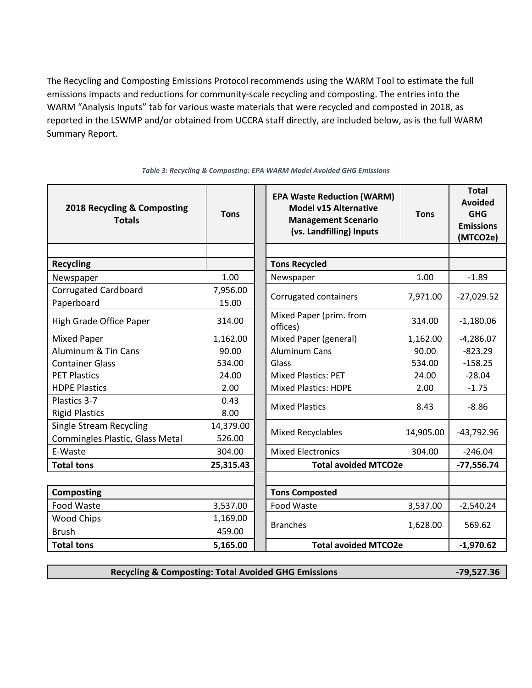The Recycling and Composting Emissions Protocol recommends using the WARM Tool to estimate the full emissions impacts and reductions for community-scale recycling and composting. The entries into the WARM "Analysis Inputs" tab for various waste materials that were recycled and composted in 2018, as reported in the LSWMP and/or obtained from UCCRA staff directly, are included below, as is the full WARM Summary Report.

| 2018 Recycling & Composting<br><b>Totals</b> | <b>Tons</b> | <b>EPA Waste Reduction (WARM)</b><br><b>Model v15 Alternative</b><br><b>Management Scenario</b><br>(vs. Landfilling) Inputs | <b>Tons</b> | <b>Total</b><br><b>Avoided</b><br><b>GHG</b><br><b>Emissions</b><br>(MTCO2e) |
|----------------------------------------------|-------------|-----------------------------------------------------------------------------------------------------------------------------|-------------|------------------------------------------------------------------------------|
|                                              |             |                                                                                                                             |             |                                                                              |
| <b>Recycling</b>                             |             | <b>Tons Recycled</b>                                                                                                        |             |                                                                              |
| Newspaper                                    | 1.00        | Newspaper                                                                                                                   | 1.00        | $-1.89$                                                                      |
| <b>Corrugated Cardboard</b>                  | 7,956.00    | Corrugated containers                                                                                                       | 7,971.00    | $-27,029.52$                                                                 |
| Paperboard                                   | 15.00       |                                                                                                                             |             |                                                                              |
| High Grade Office Paper                      | 314.00      | Mixed Paper (prim. from<br>offices)                                                                                         | 314.00      | $-1,180.06$                                                                  |
| <b>Mixed Paper</b>                           | 1,162.00    | Mixed Paper (general)                                                                                                       | 1,162.00    | $-4,286.07$                                                                  |
| Aluminum & Tin Cans                          | 90.00       | <b>Aluminum Cans</b>                                                                                                        | 90.00       | $-823.29$                                                                    |
| <b>Container Glass</b>                       | 534.00      | Glass                                                                                                                       | 534.00      | $-158.25$                                                                    |
| <b>PET Plastics</b>                          | 24.00       | <b>Mixed Plastics: PET</b>                                                                                                  | 24.00       | $-28.04$                                                                     |
| <b>HDPE Plastics</b>                         | 2.00        | <b>Mixed Plastics: HDPE</b>                                                                                                 | 2.00        | $-1.75$                                                                      |
| Plastics 3-7                                 | 0.43        | <b>Mixed Plastics</b>                                                                                                       | 8.43        | $-8.86$                                                                      |
| <b>Rigid Plastics</b>                        | 8.00        |                                                                                                                             |             |                                                                              |
| <b>Single Stream Recycling</b>               | 14,379.00   | <b>Mixed Recyclables</b>                                                                                                    | 14,905.00   | $-43,792.96$                                                                 |
| Commingles Plastic, Glass Metal              | 526.00      |                                                                                                                             |             |                                                                              |
| E-Waste                                      | 304.00      | <b>Mixed Electronics</b>                                                                                                    | 304.00      | $-246.04$                                                                    |
| <b>Total tons</b>                            | 25,315.43   | <b>Total avoided MTCO2e</b>                                                                                                 |             | $-77,556.74$                                                                 |
|                                              |             |                                                                                                                             |             |                                                                              |
| <b>Composting</b>                            |             | <b>Tons Composted</b>                                                                                                       |             |                                                                              |
| Food Waste                                   | 3,537.00    | Food Waste                                                                                                                  | 3,537.00    | $-2,540.24$                                                                  |
| <b>Wood Chips</b>                            | 1,169.00    |                                                                                                                             |             |                                                                              |
| <b>Brush</b>                                 | 459.00      | <b>Branches</b>                                                                                                             | 1,628.00    | 569.62                                                                       |
| <b>Total tons</b>                            | 5,165.00    | <b>Total avoided MTCO2e</b>                                                                                                 |             | $-1,970.62$                                                                  |

*Table 3: Recycling & Composting: EPA WARM Model Avoided GHG Emissions*

**Recycling & Composting: Total Avoided GHG Emissions -79,527.36**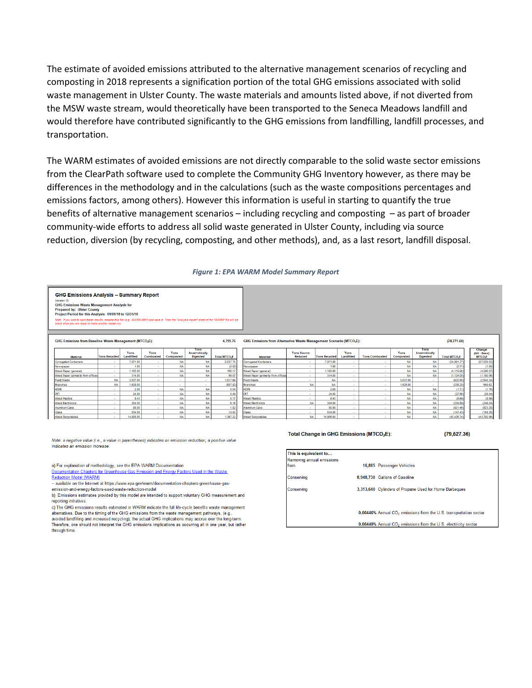The estimate of avoided emissions attributed to the alternative management scenarios of recycling and composting in 2018 represents a signification portion of the total GHG emissions associated with solid waste management in Ulster County. The waste materials and amounts listed above, if not diverted from the MSW waste stream, would theoretically have been transported to the Seneca Meadows landfill and would therefore have contributed significantly to the GHG emissions from landfilling, landfill processes, and transportation.

The WARM estimates of avoided emissions are not directly comparable to the solid waste sector emissions from the ClearPath software used to complete the Community GHG Inventory however, as there may be differences in the methodology and in the calculations (such as the waste compositions percentages and emissions factors, among others). However this information is useful in starting to quantify the true benefits of alternative management scenarios – including recycling and composting – as part of broader community-wide efforts to address all solid waste generated in Ulster County, including via source reduction, diversion (by recycling, composting, and other methods), and, as a last resort, landfill disposal.

#### *Figure 1: EPA WARM Model Summary Report*

| Version 15<br><b>GHG Emissions Waste Management Analysis for</b><br><b>Prepared by: Ulster County</b><br>Project Period for this Analysis: 01/01/18 to 12/31/18                                                                                                      |                      |                    |                   |                        |                                                                                 |                                |                                     |                               |                      |                    |                          |                        |                                                 |                                |                                                                                |
|----------------------------------------------------------------------------------------------------------------------------------------------------------------------------------------------------------------------------------------------------------------------|----------------------|--------------------|-------------------|------------------------|---------------------------------------------------------------------------------|--------------------------------|-------------------------------------|-------------------------------|----------------------|--------------------|--------------------------|------------------------|-------------------------------------------------|--------------------------------|--------------------------------------------------------------------------------|
| Note: If you wish to save these results, rename this file (e.g., WARM-MN1) and save it. Then the "Analysis Inputs" sheet of the "WARM" file will be<br>blank when you are ready to make another model run.                                                           |                      |                    |                   |                        |                                                                                 |                                |                                     |                               |                      |                    |                          |                        |                                                 |                                |                                                                                |
| <b>GHG Emissions from Baseline Waste Management (MTCO2E):</b><br>4,755.76                                                                                                                                                                                            |                      |                    |                   |                        | GHG Emissions from Alternative Waste Management Scenario (MTCO <sub>2</sub> E): |                                |                                     |                               |                      |                    |                          | (74, 771, 60)          |                                                 |                                |                                                                                |
|                                                                                                                                                                                                                                                                      | <b>Tons Recycled</b> | Tons<br>Landfilled | Tons<br>Combusted | Tons<br>Composted      | Tons<br>Anaerobically<br><b>Digested</b>                                        | <b>Total MTCO<sub>2</sub>E</b> | <b>Material</b>                     | <b>Tons Source</b><br>Reduced | <b>Tons Recycled</b> | Tons<br>Landfilled | <b>Tons Combusted</b>    | Tons<br>Composted      | Tons<br><b>Anaerobically</b><br><b>Digested</b> | <b>Total MTCO<sub>2</sub>E</b> | Change<br>(Alt - Base)<br><b>MTCO<sub>2</sub>E</b>                             |
| <b>Material</b>                                                                                                                                                                                                                                                      |                      |                    |                   |                        |                                                                                 |                                |                                     |                               |                      |                    |                          |                        |                                                 |                                |                                                                                |
|                                                                                                                                                                                                                                                                      | $\sim$               | 7.971.00           | $\sim$            | <b>NA</b>              | <b>NA</b>                                                                       | 2.037.75                       | <b>Corrugated Containers</b>        |                               | 7.971.00             | $\sim$             |                          | <b>NA</b>              | <b>NA</b>                                       | (24.991.77)                    | (27.029.52)                                                                    |
|                                                                                                                                                                                                                                                                      | $\sim$               | 1.00               | $\sim$            | <b>NA</b>              | <b>NA</b>                                                                       | (0.82)                         | Newspaper                           |                               | 1.00                 | <b>A</b>           | $\sim$                   | <b>NA</b>              | <b>NA</b>                                       | (2.71)                         | (1.89)                                                                         |
|                                                                                                                                                                                                                                                                      | <b>A</b>             | 1.162.00           | $\sim$            | <b>NA</b>              | <b>NA</b>                                                                       | 166.17                         | Mixed Paper (general)               |                               | 1.162.00             | <b>A</b>           | $\sim$                   | <b>NA</b>              | <b>NA</b>                                       | (4.119.90)                     | (4.286.07)                                                                     |
|                                                                                                                                                                                                                                                                      | <b>A</b>             | 314.00             | <b>м.</b>         | <b>NA</b>              | <b>NA</b>                                                                       | 56.07                          | Mixed Paper (primarily from offices | . .                           | 314.00               | . .                |                          | <b>NA</b>              | <b>NA</b>                                       | (1, 124.00)                    |                                                                                |
|                                                                                                                                                                                                                                                                      | <b>NA</b>            | 3,537.00           | ×.                | <b>A</b>               | $\sim$                                                                          | 1.917.69                       | Food Waste                          | ×.                            | <b>NA</b>            |                    |                          | 3.537.00               | ×.                                              | (622.55)                       |                                                                                |
|                                                                                                                                                                                                                                                                      | <b>NA</b>            | 1,628.00           | ×.                | <b>A</b>               | . .                                                                             | (807.82)                       | <b>Branches</b>                     | <b>NA</b>                     | <b>NA</b>            | ×.                 | <b>1979</b>              | 1,628.00               | a.                                              | (238.20)                       |                                                                                |
|                                                                                                                                                                                                                                                                      |                      | 2.00               | ×.                | <b>NA</b>              | <b>NA</b>                                                                       | 0.04                           | HDPE                                | ×.                            | 2.00                 |                    | <b>A</b>                 | <b>NA</b>              | <b>NA</b>                                       | (1.71)                         |                                                                                |
|                                                                                                                                                                                                                                                                      | $\sim$               | 24.00              | <b>A</b>          | <b>NA</b>              | <b>NA</b>                                                                       | 0.49                           |                                     | $\sim$                        | 24.00                | <b>.</b>           | $\sim$                   | <b>NA</b>              | <b>NA</b>                                       | (27.56)                        |                                                                                |
|                                                                                                                                                                                                                                                                      | $\sim$               | 8.43               | $\sim$            | <b>NA</b>              | <b>NA</b>                                                                       | 0.17                           | Mixed Plastics                      | $\sim$                        | 8.43                 | <b>A</b>           | $\sim$                   | <b>NA</b>              | <b>NA</b>                                       | (8.69)                         |                                                                                |
|                                                                                                                                                                                                                                                                      | <b>A</b>             | 304.00             | $\sim$            | <b>NA</b>              | <b>NA</b>                                                                       | 6.16                           | <b>Mixed Electronics</b>            | <b>NA</b>                     | 304.00               | $\sim$             | $\sim$                   | <b>NA</b>              | <b>NA</b>                                       | (239.89)                       | (1, 180.06)<br>(2,540.24)<br>569.62<br>(1.75)<br>(28.04)<br>(8.86)<br>(246.04) |
| <b>Corrugated Containers</b><br>Newspaper<br>Mixed Paper (general)<br>Mixed Paper (primarily from offices<br><b>Food Waste</b><br><b>Branches</b><br><b>HDPE</b><br>PET<br><b>Mixed Plastics</b><br><b>Mixed Electronics</b><br><b>Aluminum Cans</b><br><b>Glass</b> |                      | 90.00<br>534.00    | $\sim$            | <b>NA</b><br><b>NA</b> | <b>NA</b><br><b>NA</b>                                                          | 1.82<br>10.82                  | Aluminum Cans<br><b>Glass</b>       |                               | 90.00<br>534.00      | $\sim$             | $\overline{\phantom{a}}$ | <b>NA</b><br><b>NA</b> | <b>NA</b><br><b>NA</b>                          | (821.46)<br>(147.43)           | (823.29)<br>(158.25)                                                           |

Note: a negative value (i.e., a value in parentheses) indicates an emission reduction; a positive value indicates an emission increase

a) For explanation of methodology, see the EPA WARM Documentation

Documentation Chapters for Greenhouse Gas Emission and Energy Factors Used in the Waste Reduction Model (WARM)

-- available on the Internet at https://www.epa.gov/warm/documentation-chapters-greenhouse-gasemission-and-energy-factors-used-waste-reduction-model

b) Emissions estimates provided by this model are intended to support voluntary GHG measurement and reporting initiatives.

c) The GHG emissions results estimated in WARM indicate the full life-cycle benefits waste management alternatives. Due to the timing of the GHG emissions from the waste management pathways, (e.g.,<br>avoided landfilling and increased recycling), the actual GHG implications may accrue over the long-tern

Therefore, one should not interpret the GHG emissions implications as occurring all in one year, but rather through time.

#### Total Change in GHG Emissions (MTCO<sub>2</sub>E):

 $(79.527.36)$ 

| This is equivalent to             |                                                                               |
|-----------------------------------|-------------------------------------------------------------------------------|
| Removing annual emissions<br>from | 16,885 Passenger Vehicles                                                     |
| Conserving                        | 8.948.730 Gallons of Gasoline                                                 |
| Conserving                        | 3,313,640 Cylinders of Propane Used for Home Barbeques                        |
|                                   |                                                                               |
|                                   | 0.00446% Annual CO <sub>2</sub> emissions from the U.S. transportation sector |
|                                   | 0.00440% Annual CO <sub>2</sub> emissions from the U.S. electricity sector    |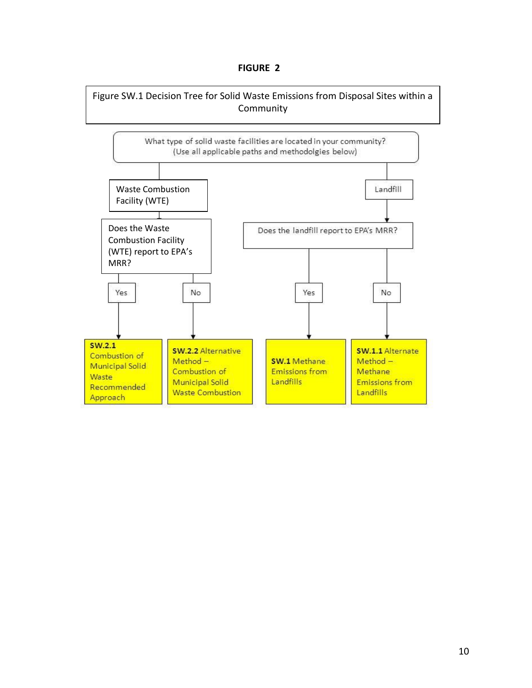## **FIGURE 2**

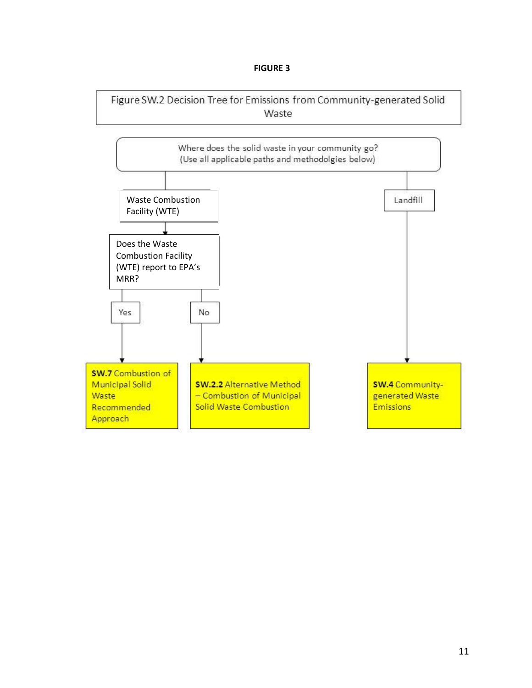## **FIGURE 3**